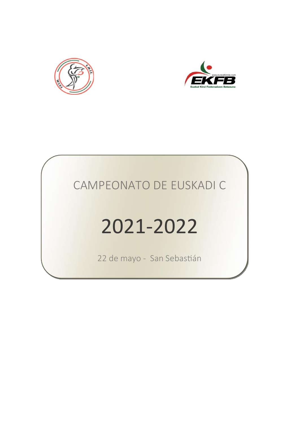



# CAMPEONATO DE EUSKADI C

# 2021-2022

22 de mayo - San Sebastián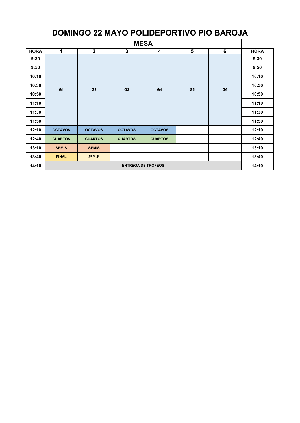### **DOMINGO 22 MAYO POLIDEPORTIVO PIO BAROJA**

|             |                |                |                | <b>MESA</b>               |                |    |             |       |
|-------------|----------------|----------------|----------------|---------------------------|----------------|----|-------------|-------|
| <b>HORA</b> | 1              | $\mathbf{2}$   | $\mathbf 3$    | 4                         | 5              | 6  | <b>HORA</b> |       |
| 9:30        |                |                |                |                           |                |    | 9:30        |       |
| 9:50        |                |                |                |                           |                | G6 | 9:50        |       |
| 10:10       |                |                |                |                           |                |    | 10:10       |       |
| 10:30       | G <sub>1</sub> | G <sub>2</sub> | G3             | G <sub>4</sub>            | G <sub>5</sub> |    |             | 10:30 |
| 10:50       |                |                |                |                           |                |    | 10:50       |       |
| 11:10       |                |                |                |                           |                |    | 11:10       |       |
| 11:30       |                |                |                |                           |                |    | 11:30       |       |
| 11:50       |                |                |                |                           |                |    | 11:50       |       |
| 12:10       | <b>OCTAVOS</b> | <b>OCTAVOS</b> | <b>OCTAVOS</b> | <b>OCTAVOS</b>            |                |    | 12:10       |       |
| 12:40       | <b>CUARTOS</b> | <b>CUARTOS</b> | <b>CUARTOS</b> | <b>CUARTOS</b>            |                |    | 12:40       |       |
| 13:10       | <b>SEMIS</b>   | <b>SEMIS</b>   |                |                           |                |    | 13:10       |       |
| 13:40       | <b>FINAL</b>   | 3º Y 4º        |                |                           |                |    | 13:40       |       |
| 14:10       |                |                |                | <b>ENTREGA DE TROFEOS</b> |                |    | 14:10       |       |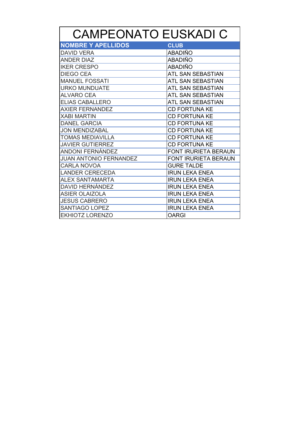| <b>CAMPEONATO EUSKADI C</b>   |                             |  |  |  |  |  |
|-------------------------------|-----------------------------|--|--|--|--|--|
| <b>NOMBRE Y APELLIDOS</b>     | <b>CLUB</b>                 |  |  |  |  |  |
| <b>DAVID VERA</b>             | <b>ABADIÑO</b>              |  |  |  |  |  |
| <b>ANDER DIAZ</b>             | <b>ABADIÑO</b>              |  |  |  |  |  |
| <b>IKER CRESPO</b>            | <b>ABADIÑO</b>              |  |  |  |  |  |
| <b>DIEGO CEA</b>              | ATL SAN SEBASTIAN           |  |  |  |  |  |
| <b>MANUEL FOSSATI</b>         | <b>ATL SAN SEBASTIAN</b>    |  |  |  |  |  |
| <b>URKO MUNDUATE</b>          | <b>ATL SAN SEBASTIAN</b>    |  |  |  |  |  |
| <b>ALVARO CEA</b>             | ATL SAN SEBASTIAN           |  |  |  |  |  |
| <b>ELIAS CABALLERO</b>        | <b>ATL SAN SEBASTIAN</b>    |  |  |  |  |  |
| <b>AXIER FERNANDEZ</b>        | <b>CD FORTUNA KE</b>        |  |  |  |  |  |
| <b>XABI MARTIN</b>            | <b>CD FORTUNA KE</b>        |  |  |  |  |  |
| <b>DANEL GARCIA</b>           | <b>CD FORTUNA KE</b>        |  |  |  |  |  |
| <b>JON MENDIZABAL</b>         | <b>CD FORTUNA KE</b>        |  |  |  |  |  |
| <b>TOMAS MEDIAVILLA</b>       | <b>CD FORTUNA KE</b>        |  |  |  |  |  |
| <b>JAVIER GUTIERREZ</b>       | <b>CD FORTUNA KE</b>        |  |  |  |  |  |
| ANDONI FERNÁNDEZ              | <b>FONT IRURIETA BERAUN</b> |  |  |  |  |  |
| <b>JUAN ANTONIO FERNANDEZ</b> | FONT IRURIETA BERAUN        |  |  |  |  |  |
| <b>CARLA NOVOA</b>            | <b>GURE TALDE</b>           |  |  |  |  |  |
| <b>LANDER CERECEDA</b>        | <b>IRUN LEKA ENEA</b>       |  |  |  |  |  |
| <b>ALEX SANTAMARTA</b>        | <b>IRUN LEKA ENEA</b>       |  |  |  |  |  |
| <b>DAVID HERNÁNDEZ</b>        | <b>IRUN LEKA ENEA</b>       |  |  |  |  |  |
| ASIER OLAIZOLA                | <b>IRUN LEKA ENEA</b>       |  |  |  |  |  |
| <b>JESUS CABRERO</b>          | <b>IRUN LEKA ENEA</b>       |  |  |  |  |  |
| <b>SANTIAGO LOPEZ</b>         | <b>IRUN LEKA ENEA</b>       |  |  |  |  |  |
| <b>EKHIOTZ LORENZO</b>        | <b>OARGI</b>                |  |  |  |  |  |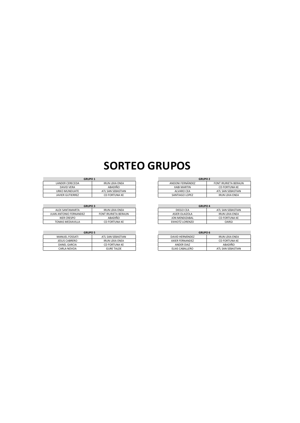## **SORTEO GRUPOS**

| <b>GRUPO 1</b>   |                       |  |  |  |  |  |
|------------------|-----------------------|--|--|--|--|--|
| LANDER CERECEDA  | <b>IRUN LEKA ENEA</b> |  |  |  |  |  |
| DAVID VERA       | ABADIÑO               |  |  |  |  |  |
| URKO MUNDUATE    | ATL SAN SEBASTIAN     |  |  |  |  |  |
| JAVIER GUTIERREZ | <b>CD FORTUNA KE</b>  |  |  |  |  |  |

| <b>GRUPO 3</b>      |                         |  |  |  |  |  |
|---------------------|-------------------------|--|--|--|--|--|
| ALEX SANTAMARTA     | <b>IRUN LEKA ENEA</b>   |  |  |  |  |  |
| LANTONIO EFRAIANDEZ | <b>CONTIDUDITTA DED</b> |  |  |  |  |  |

| JUAN ANTONIO FERNANDEZ | <b>IRURIETA BERAUN</b><br>™. | ASIER OLAIZOLA            | <b>ENEA</b><br>IRUN LEKA |
|------------------------|------------------------------|---------------------------|--------------------------|
| CRESPO<br>IKER         | ABADIÑC                      | JON MENDIZABAL            | UNA KE<br><b>CD FORT</b> |
| TOMAS MEDIAVILLA       | <b>CD FORTUNA KE</b>         | LORENZO<br>-17<br>EKHIOTZ | OARGI                    |

| <b>GRUPO 5</b>       |                   |  | <b>GRUPO 6</b>  |               |                 |                   |
|----------------------|-------------------|--|-----------------|---------------|-----------------|-------------------|
| MANUEL FOSSATI       | ATL SAN SEBASTIAN |  | DAVID HERNÁNDEZ | IRUN LEKA EI  |                 |                   |
| <b>JESUS CABRERO</b> | IRUN LEKA ENEA    |  |                 |               | AXIER FERNANDEZ | <b>CD FORTUNA</b> |
| DANEL GARCIA         | CD FORTUNA KE     |  | ANDER DIAZ      | ABADIÑO       |                 |                   |
| CARLA NOVOA          | <b>GURE TALDE</b> |  | ELIAS CABALLERO | ATL SAN SEBAS |                 |                   |

| <b>GRUPO 1</b>                    |                       | <b>GRUPO 2</b>     |                      |  |  |  |
|-----------------------------------|-----------------------|--------------------|----------------------|--|--|--|
| LANDER CERECEDA                   | <b>IRUN LEKA ENEA</b> | ANDONI FERNANDEZ   | FONT IRURIETA BERAUN |  |  |  |
| DAVID VERA                        | ABADIÑO               | <b>XABI MARTIN</b> | CD FORTUNA KE        |  |  |  |
| URKO MUNDUATE                     | ATL SAN SEBASTIAN     | ALVARO CEA         | ATL SAN SEBASTIAN    |  |  |  |
| JAVIER GUTIERREZ<br>CD FORTUNA KE |                       | SANTIAGO LOPEZ     | IRUN LEKA ENEA       |  |  |  |
|                                   |                       |                    |                      |  |  |  |

| <b>GRUPO 3</b>      |                      | <b>GRUPO 4</b>  |                   |
|---------------------|----------------------|-----------------|-------------------|
| ALEX SANTAMARTA     | IRUN LEKA ENEA       | DIEGO CEA       | ATL SAN SEBASTIAN |
| N ANTONIO FERNANDEZ | FONT IRURIETA BERAUN | ASIER OLAIZOLA  | IRUN LEKA ENEA    |
| <b>IKER CRESPO</b>  | ABADIÑO              | JON MENDIZABAL  | CD FORTUNA KE     |
| FOMAS MEDIAVILLA    | CD FORTUNA KE        | EKHIOTZ LORENZO | OARGI             |

| <b>GRUPO 5</b> |                   | <b>GRUPO 6</b>  |                   |
|----------------|-------------------|-----------------|-------------------|
| MANUEL FOSSATI | ATL SAN SEBASTIAN | DAVID HERNÁNDEZ | IRUN LEKA ENEA    |
| JESUS CABRERO  | IRUN LEKA ENEA    | AXIER FERNANDEZ | CD FORTUNA KE     |
| DANEL GARCIA   | CD FORTUNA KE     | ANDER DIAZ      | ABADIÑO           |
| CARLA NOVOA    | GURE TALDE        | ELIAS CABALLERO | ATL SAN SEBASTIAN |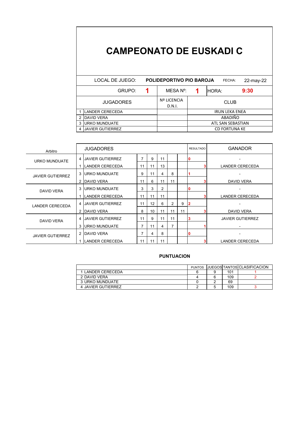## **CAMPEONATO DE EUSKADI C**

|                           | LOCAL DE JUEGO:         |  | <b>POLIDEPORTIVO PIO BAROJA</b><br>22-may-22<br>FECHA: |                       |                   |      |  |  |
|---------------------------|-------------------------|--|--------------------------------------------------------|-----------------------|-------------------|------|--|--|
|                           | GRUPO:                  |  | MESA N°:                                               |                       | HORA:             | 9:30 |  |  |
|                           | <b>JUGADORES</b>        |  | <b>Nº LICENCIA</b><br>D.N.I.                           | <b>CLUB</b>           |                   |      |  |  |
|                           | <b>ILANDER CERECEDA</b> |  |                                                        | <b>IRUN LEKA ENEA</b> |                   |      |  |  |
| <b>DAVID VERA</b><br>2    |                         |  |                                                        | ABADIÑO               |                   |      |  |  |
| <b>URKO MUNDUATE</b><br>3 |                         |  |                                                        |                       | ATL SAN SEBASTIAN |      |  |  |
|                           | <b>JAVIER GUTIERREZ</b> |  |                                                        | <b>CD FORTUNA KE</b>  |                   |      |  |  |

| <b>JUGADORES</b><br>Arbitro |   |                         |                |    |                | <b>RESULTADO</b> | <b>GANADOR</b> |   |                         |
|-----------------------------|---|-------------------------|----------------|----|----------------|------------------|----------------|---|-------------------------|
| URKO MUNDUATE               |   | 4 JJAVIER GUTIERREZ     | $\overline{7}$ | 9  | 11             |                  |                |   |                         |
|                             |   | <b>LANDER CERECEDA</b>  | 11             | 11 | 13             |                  |                | 3 | LANDER CERECEDA         |
| <b>JAVIER GUTIERREZ</b>     | 3 | <b>URKO MUNDUATE</b>    | 9              | 11 | 4              | 8                |                |   |                         |
|                             |   | <b>DAVID VERA</b>       | 11             | 6  | 11             | 11               |                |   | <b>DAVID VERA</b>       |
| DAVID VERA                  |   | <b>IURKO MUNDUATE</b>   | 3              | 3  | $\overline{2}$ |                  |                | 0 |                         |
|                             |   | <b>LANDER CERECEDA</b>  | 11             | 11 | 11             |                  |                |   | <b>LANDER CERECEDA</b>  |
| <b>LANDER CERECEDA</b>      | 4 | <b>JAVIER GUTIERREZ</b> | 11             | 12 | 6              | $\overline{2}$   | 9              | 2 |                         |
|                             | 2 | <b>IDAVID VERA</b>      | 8              | 10 | 11             | 11               | 11             |   | DAVID VERA              |
| <b>DAVID VERA</b>           |   | <b>JAVIER GUTIERREZ</b> | 11             | 9  | 11             | 11               |                |   | <b>JAVIER GUTIERREZ</b> |
|                             | 3 | <b>IURKO MUNDUATE</b>   | $\overline{7}$ | 11 | 4              | 7                |                |   |                         |
| <b>JAVIER GUTIERREZ</b>     | 2 | <b>IDAVID VERA</b>      | 7              | 4  | 8              |                  |                | 0 |                         |
|                             |   | LANDER CERECEDA         | 11             | 11 | 11             |                  |                |   | LANDER CERECEDA         |

|                    | <b>PUNTOS</b> |     | <b>IJUEGOSITANTOSICLASIFICACION</b> |
|--------------------|---------------|-----|-------------------------------------|
| 1 LANDER CERECEDA  |               | 101 |                                     |
| 2 DAVID VERA       |               | 109 |                                     |
| 3 URKO MUNDUATE    |               | 69  |                                     |
| 4 JAVIER GUTIERREZ |               | 109 |                                     |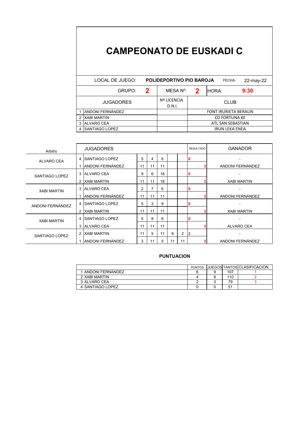|                                                                    |                  |   |                              |                      | <b>CAMPEONATO DE EUSKADI C</b> |      |  |  |  |  |  |
|--------------------------------------------------------------------|------------------|---|------------------------------|----------------------|--------------------------------|------|--|--|--|--|--|
| LOCAL DE JUEGO:<br>POLIDEPORTIVO PIO BAROJA<br>FECHA:<br>22-may-22 |                  |   |                              |                      |                                |      |  |  |  |  |  |
|                                                                    | GRUPO:           | 2 | MESA N <sup>o</sup> :        | 2                    | HORA:                          | 9:30 |  |  |  |  |  |
|                                                                    | <b>JUGADORES</b> |   | <b>Nº LICENCIA</b><br>D.N.I. | <b>CLUB</b>          |                                |      |  |  |  |  |  |
| ANDONI FERNÁNDEZ                                                   |                  |   |                              |                      | <b>FONT IRURIETA BERAUN</b>    |      |  |  |  |  |  |
| <b>XABI MARTIN</b>                                                 |                  |   |                              | <b>CD FORTUNA KE</b> |                                |      |  |  |  |  |  |
| 3 ALVARO CEA                                                       |                  |   |                              |                      | ATL SAN SEBASTIAN              |      |  |  |  |  |  |
| <b>ISANTIAGO LOPEZ</b><br>4                                        |                  |   |                              |                      | <b>IRUN LEKA ENEA</b>          |      |  |  |  |  |  |

| Arbitro            |   | <b>JUGADORES</b>        |    |                |    |    | <b>RESULTADO</b> | <b>GANADOR</b> |                    |
|--------------------|---|-------------------------|----|----------------|----|----|------------------|----------------|--------------------|
| ALVARO CEA         |   | <b>SANTIAGO LOPEZ</b>   | 5  | $\overline{4}$ | 6  |    |                  | 0              |                    |
|                    |   | <b>ANDONI FERNÁNDEZ</b> | 11 | 11             | 11 |    |                  | 3              | ANDONI FERNÁNDEZ   |
| SANTIAGO LOPEZ     |   | 3 ALVARO CEA            | 9  | 6              | 16 |    |                  | 0              |                    |
|                    |   | <b>XABI MARTIN</b>      | 11 | 11             | 18 |    |                  | 3              | <b>XABI MARTIN</b> |
| <b>XABI MARTIN</b> |   | <b>ALVARO CEA</b>       | 2  | $\overline{7}$ | 6  |    |                  | О              |                    |
|                    |   | <b>ANDONI FERNÁNDEZ</b> | 11 | 11             | 11 |    |                  | 3              | ANDONI FERNÁNDEZ   |
| ANDONI FERNÁNDEZ   | 4 | <b>SANTIAGO LOPEZ</b>   | 5  | 3              | 9  |    |                  |                |                    |
|                    |   | 2   XABI MARTIN         | 11 | 11             | 11 |    |                  | 3              | <b>XABI MARTIN</b> |
| <b>XABI MARTIN</b> | 4 | <b>SANTIAGO LOPEZ</b>   | 5  | 8              | 6  |    |                  |                |                    |
|                    |   | 3 ALVARO CEA            | 11 | 11             | 11 |    |                  | 3              | ALVARO CEA         |
| SANTIAGO LOPEZ     | 2 | <b>XABI MARTIN</b>      | 11 | 5              | 11 | 8  | $\overline{2}$   | 2              |                    |
|                    |   | <b>ANDONI FERNÁNDEZ</b> | 3  | 11             | 5  | 11 | 11               | 3              | ANDONI FERNÁNDEZ   |

|                    | <b>PUNTOS</b> |                | <b>UUEGOSITANTOSICLASIFICACION</b> |
|--------------------|---------------|----------------|------------------------------------|
| 1 ANDONI FERNÁNDEZ |               | 107            |                                    |
| 2 XABI MARTIN      |               | 110            |                                    |
| 3 ALVARO CEA       |               | 79             |                                    |
| 4 SANTIAGO LOPEZ   |               | 5 <sup>1</sup> |                                    |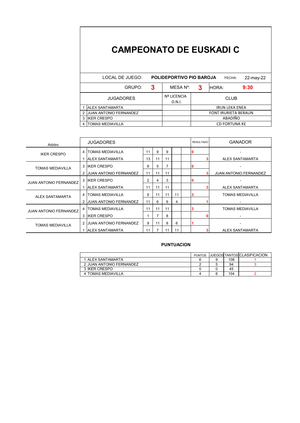### **CAMPEONATO DE EUSKADI C**

|   | LOCAL DE JUEGO:               | <b>POLIDEPORTIVO PIO BAROJA</b><br>$22$ -may- $22$<br>FECHA: |                                             |                             |       |                       |  |  |  |  |
|---|-------------------------------|--------------------------------------------------------------|---------------------------------------------|-----------------------------|-------|-----------------------|--|--|--|--|
|   | GRUPO:                        | 3                                                            | MESA N°:                                    | 3                           | HORA: | 9:30                  |  |  |  |  |
|   | <b>JUGADORES</b>              |                                                              | <b>Nº LICENCIA</b><br><b>CLUB</b><br>D.N.I. |                             |       |                       |  |  |  |  |
|   | <b>ALEX SANTAMARTA</b>        |                                                              |                                             |                             |       | <b>IRUN LEKA ENEA</b> |  |  |  |  |
|   | <b>JUAN ANTONIO FERNANDEZ</b> |                                                              |                                             | <b>FONT IRURIETA BERAUN</b> |       |                       |  |  |  |  |
|   | 3 IKER CRESPO                 |                                                              |                                             | ABADIÑO                     |       |                       |  |  |  |  |
| 4 | <b>TOMAS MEDIAVILLA</b>       |                                                              |                                             | <b>CD FORTUNA KE</b>        |       |                       |  |  |  |  |

| Arbitro                       |   | <b>JUGADORES</b>              |    |    | <b>RESULTADO</b> | GANADOR |  |                               |
|-------------------------------|---|-------------------------------|----|----|------------------|---------|--|-------------------------------|
| <b>IKER CRESPO</b>            |   | 4   TOMAS MEDIAVILLA          | 11 | 9  | 9                |         |  |                               |
|                               |   | <b>ALEX SANTAMARTA</b>        | 13 | 11 | 11               |         |  | ALEX SANTAMARTA               |
| <b>TOMAS MEDIAVILLA</b>       |   | 3 IIKER CRESPO                | 8  | 5  | 7                |         |  |                               |
|                               |   | <b>JUAN ANTONIO FERNANDEZ</b> | 11 | 11 | 11               |         |  | <b>JUAN ANTONIO FERNANDEZ</b> |
| <b>JUAN ANTONIO FERNANDEZ</b> |   | 3 IKER CRESPO                 | 2  | 4  | 3                |         |  |                               |
|                               |   | <b>ALEX SANTAMARTA</b>        | 11 | 11 | 11               |         |  | <b>ALEX SANTAMARTA</b>        |
| <b>ALEX SANTAMARTA</b>        |   | 4   TOMAS MEDIAVILLA          | 9  | 11 | 11               | 11      |  | <b>TOMAS MEDIAVILLA</b>       |
|                               | 2 | <b>JUAN ANTONIO FERNANDEZ</b> | 11 | 6  | 6                | 4       |  |                               |
| <b>JUAN ANTONIO FERNANDEZ</b> |   | <b>4 ITOMAS MEDIAVILLA</b>    | 11 | 11 | 11               |         |  | <b>TOMAS MEDIAVILLA</b>       |
|                               | 3 | <b>IKER CRESPO</b>            |    | 7  | 8                |         |  |                               |
| <b>TOMAS MEDIAVILLA</b>       |   | <b>JUAN ANTONIO FERNANDEZ</b> | 9  | 11 | 8                | 6       |  |                               |
|                               |   | <b>ALEX SANTAMARTA</b>        | 11 |    | 11               | 11      |  | <b>ALEX SANTAMARTA</b>        |

|                          | <b>PUNTOS</b> |     | <b>JUEGOS TANTOS CLASIFICACION</b> |
|--------------------------|---------------|-----|------------------------------------|
| ALEX SANTAMARTA          |               | 108 |                                    |
| 2 JUAN ANTONIO FERNANDEZ |               | 94  |                                    |
| 3 IKER CRESPO            |               | 45  |                                    |
| 4 TOMAS MEDIAVILLA       |               | 104 |                                    |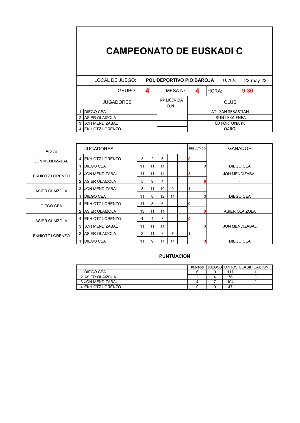|   | <b>CAMPEONATO DE EUSKADI C</b> |    |                          |                       |                      |           |  |  |
|---|--------------------------------|----|--------------------------|-----------------------|----------------------|-----------|--|--|
|   | LOCAL DE JUEGO:                |    | POLIDEPORTIVO PIO BAROJA |                       | FECHA:               | 22-may-22 |  |  |
|   | GRUPO:                         | Д. | MESA N <sup>o</sup> :    | 4                     | HORA:                | 9:30      |  |  |
|   | <b>JUGADORES</b>               |    | Nº LICENCIA<br>D.N.I.    | <b>CLUB</b>           |                      |           |  |  |
|   | DIEGO CEA                      |    |                          |                       | ATL SAN SEBASTIAN    |           |  |  |
| 2 | <b>IASIER OLAIZOLA</b>         |    |                          | <b>IRUN LEKA ENEA</b> |                      |           |  |  |
| 3 | <b>JON MENDIZABAL</b>          |    |                          |                       | <b>CD FORTUNA KE</b> |           |  |  |
| 4 | <b>IEKHIOTZ LORENZO</b>        |    |                          |                       | <b>OARGI</b>         |           |  |  |

| Arbitro                |   | <b>JUGADORES</b>        |                |                |    | <b>RESULTADO</b> | <b>GANADOR</b> |                       |
|------------------------|---|-------------------------|----------------|----------------|----|------------------|----------------|-----------------------|
| <b>JON MENDIZABAL</b>  |   | 4 EKHIOTZ LORENZO       | 3              | $\overline{2}$ | 6  |                  |                |                       |
|                        |   | <b>DIEGO CEA</b>        | 11             | 11             | 11 |                  | 3              | <b>DIEGO CEA</b>      |
| <b>EKHIOTZ LORENZO</b> |   | <b>JON MENDIZABAL</b>   | 11             | 11             | 11 |                  |                | <b>JON MENDIZABAL</b> |
|                        |   | ASIER OLAIZOLA          | 5              | 9              | 4  |                  | $\mathbf{0}$   |                       |
| ASIER OLAIZOLA         | 3 | <b>JON MENDIZABAL</b>   | 8              | 11             | 10 | 9                |                |                       |
|                        |   | <b>DIEGO CEA</b>        | 11             | 8              | 12 | 11               | 3              | <b>DIEGO CEA</b>      |
| DIEGO CEA              | 4 | <b>LEKHIOTZ LORENZO</b> | 11             | 8              | 6  |                  |                |                       |
|                        | 2 | <b>ASIER OLAIZOLA</b>   | 13             | 11             | 11 |                  | 3              | <b>ASIER OLAIZOLA</b> |
| ASIER OLAIZOLA         | 4 | <b>IEKHIOTZ LORENZO</b> | 4              | 4              | 3  |                  |                |                       |
|                        | 3 | <b>JON MENDIZABAL</b>   | 11             | 11             | 11 |                  | 3              | <b>JON MENDIZABAL</b> |
| EKHIOTZ LORENZO        | 2 | <b>ASIER OLAIZOLA</b>   | $\overline{2}$ | 11             | 3  | 7                |                |                       |
|                        |   | <b>IDIEGO CEA</b>       | 11             | 9              | 11 | 11               | 3              | <b>DIEGO CEA</b>      |

|                   |  |     | PUNTOS <b>JUEGOS TANTOS CLASIFICACION</b> |
|-------------------|--|-----|-------------------------------------------|
| 1 DIEGO CEA       |  | 117 |                                           |
| 2 ASIER OLAIZOLA  |  | 76  |                                           |
| 3 JON MENDIZARAI  |  | 104 |                                           |
| 4 EKHIOTZ LORENZO |  | 47  |                                           |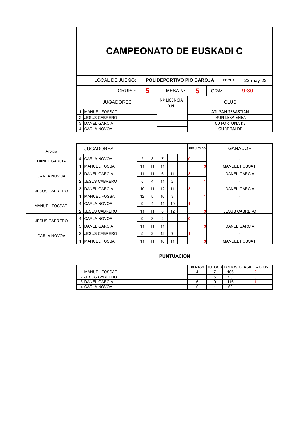|                | <b>CAMPEONATO DE EUSKADI C</b> |   |                              |                       |                      |           |  |  |
|----------------|--------------------------------|---|------------------------------|-----------------------|----------------------|-----------|--|--|
|                | LOCAL DE JUEGO:                |   | POLIDEPORTIVO PIO BAROJA     |                       | FECHA:               | 22-may-22 |  |  |
|                | GRUPO:                         | 5 | MESA N <sup>o</sup> :        | 5                     | HORA:                | 9:30      |  |  |
|                | <b>JUGADORES</b>               |   | <b>Nº LICENCIA</b><br>D.N.I. |                       | <b>CLUB</b>          |           |  |  |
| 1              | <b>MANUEL FOSSATI</b>          |   |                              |                       | ATL SAN SEBASTIAN    |           |  |  |
| $\mathfrak{p}$ | <b>JESUS CABRERO</b>           |   |                              | <b>IRUN LEKA ENEA</b> |                      |           |  |  |
| 3              | <b>DANEL GARCIA</b>            |   |                              |                       | <b>CD FORTUNA KE</b> |           |  |  |
| 4              | CARLA NOVOA                    |   |                              |                       | <b>GURE TALDE</b>    |           |  |  |

| Arbitro               |                | <b>JUGADORES</b>      |    |    |                | <b>RESULTADO</b> | <b>GANADOR</b> |                       |
|-----------------------|----------------|-----------------------|----|----|----------------|------------------|----------------|-----------------------|
| DANEL GARCIA          |                | 4 CARLA NOVOA         | 2  | 3  | 7              |                  | 0              |                       |
|                       |                | <b>MANUEL FOSSATI</b> | 11 | 11 | 11             |                  |                | <b>MANUEL FOSSATI</b> |
| CARLA NOVOA           |                | <b>DANEL GARCIA</b>   | 11 | 11 | 6              | 11               | з              | DANEL GARCIA          |
|                       |                | <b>JESUS CABRERO</b>  | 5  | 4  | 11             | $\overline{2}$   |                |                       |
| <b>JESUS CABRERO</b>  |                | 3 DANEL GARCIA        | 10 | 11 | 12             | 11               | 3              | <b>DANEL GARCIA</b>   |
|                       |                | <b>MANUEL FOSSATI</b> | 12 | 5  | 10             | 3                |                |                       |
| <b>MANUEL FOSSATI</b> |                | 4 CARLA NOVOA         | 9  | 4  | 11             | 10               |                |                       |
|                       | 2              | <b>JESUS CABRERO</b>  | 11 | 11 | 8              | 12               |                | <b>JESUS CABRERO</b>  |
| <b>JESUS CABRERO</b>  | $\overline{4}$ | ICARLA NOVOA          | 9  | 3  | $\overline{2}$ |                  | 0              |                       |
|                       | 3              | <b>DANEL GARCIA</b>   | 11 | 11 | 11             |                  |                | <b>DANEL GARCIA</b>   |
| CARLA NOVOA           | 2              | <b>JESUS CABRERO</b>  | 5  | 2  | 12             | 7                |                |                       |
|                       |                | <b>MANUEL FOSSATI</b> | 11 | 11 | 10             | 11               |                | <b>MANUEL FOSSATI</b> |

|                 | <b>PUNTOS</b> |     | <b>IJUEGOSI TANTOSI CLASIFICACION</b> |
|-----------------|---------------|-----|---------------------------------------|
| MANUEL FOSSATI  |               | 106 |                                       |
| 2 JESUS CABRERO |               | 90  |                                       |
| 3 DANEL GARCIA  |               | 116 |                                       |
| 4 CARLA NOVOA   |               | 60  |                                       |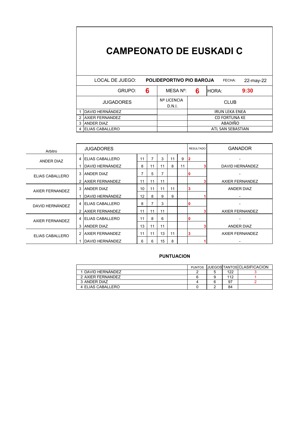|                  | <b>CAMPEONATO DE EUSKADI C</b> |   |                                                 |                      |       |      |  |  |
|------------------|--------------------------------|---|-------------------------------------------------|----------------------|-------|------|--|--|
|                  | LOCAL DE JUEGO:                |   | POLIDEPORTIVO PIO BAROJA<br>FECHA:<br>22-may-22 |                      |       |      |  |  |
|                  | GRUPO:                         | 6 | MESA N <sup>o</sup> :                           | 6                    | HORA: | 9:30 |  |  |
| <b>JUGADORES</b> |                                |   | <b>Nº LICENCIA</b><br>D.N.I.                    | <b>CLUB</b>          |       |      |  |  |
|                  | DAVID HERNÁNDEZ                |   |                                                 | IRUN LEKA ENEA       |       |      |  |  |
| 2                | <b>JAXIER FERNANDEZ</b>        |   |                                                 | <b>CD FORTUNA KE</b> |       |      |  |  |
| 3                | <b>ANDER DIAZ</b>              |   |                                                 | ABADIÑO              |       |      |  |  |
| 4                | <b>IELIAS CABALLERO</b>        |   |                                                 | ATL SAN SEBASTIAN    |       |      |  |  |

| Arbitro         |   | <b>JUGADORES</b>        |    |    |    |    |    | <b>RESULTADO</b> | <b>GANADOR</b>         |
|-----------------|---|-------------------------|----|----|----|----|----|------------------|------------------------|
| ANDER DIAZ      |   | <b>IELIAS CABALLERO</b> | 11 | 7  | 3  | 11 | 9  | 2                |                        |
|                 |   | DAVID HERNÁNDEZ         | 8  | 11 | 11 | 8  | 11 |                  | DAVID HERNÁNDEZ        |
| ELIAS CABALLERO |   | 3 JANDER DIAZ           | 7  | 5  | 7  |    |    | 0                |                        |
|                 | 2 | <b>AXIER FERNANDEZ</b>  | 11 | 11 | 11 |    |    |                  | AXIER FERNANDEZ        |
| AXIER FERNANDEZ |   | 3 JANDER DIAZ           | 10 | 11 | 11 | 11 |    | 3                | <b>ANDER DIAZ</b>      |
|                 |   | DAVID HERNÁNDEZ         | 12 | 8  | 9  | 9  |    |                  |                        |
| DAVID HERNÁNDEZ | 4 | <b>IELIAS CABALLERO</b> | 8  | 7  | 3  |    |    |                  |                        |
|                 | 2 | <b>AXIER FERNANDEZ</b>  | 11 | 11 | 11 |    |    | 3                | <b>AXIER FERNANDEZ</b> |
| AXIER FERNANDEZ |   | 4 ELIAS CABALLERO       | 11 | 8  | 6  |    |    |                  |                        |
|                 | 3 | <b>ANDER DIAZ</b>       | 13 | 11 | 11 |    |    |                  | <b>ANDER DIAZ</b>      |
| ELIAS CABALLERO |   | <b>AXIER FERNANDEZ</b>  | 11 | 11 | 13 | 11 |    | 3                | AXIER FERNANDEZ        |
|                 |   | DAVID HERNÁNDEZ         | 6  | 6  | 15 | 8  |    |                  |                        |

|                   | <b>PUNTOS</b> |     | <b>IJUEGOSITANTOS CLASIFICACION</b> |
|-------------------|---------------|-----|-------------------------------------|
| 1 DAVID HERNÁNDEZ |               | 122 |                                     |
| 2 AXIER FERNANDEZ |               | 112 |                                     |
| 3 ANDER DIAZ      |               | 97  |                                     |
| 4 ELIAS CABALLERO |               | 84  |                                     |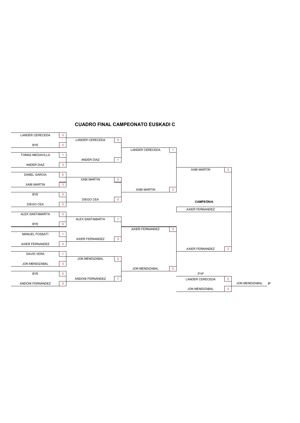

### **CUADRO FINAL CAMPEONATO EUSKADI C**